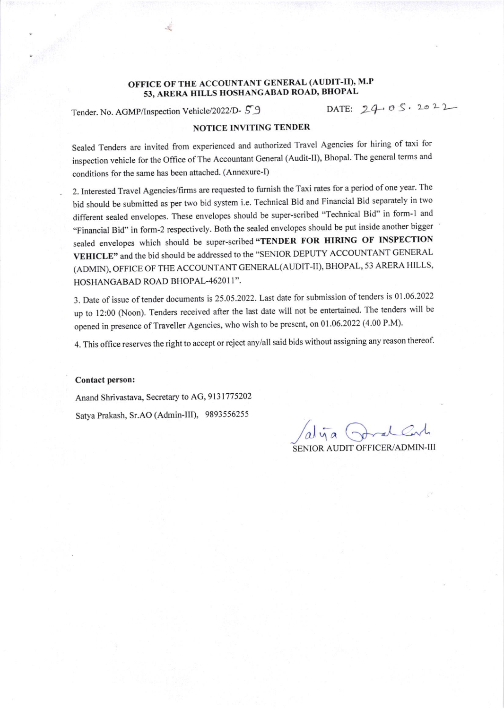## OFFICE OF THE ACCOUNTANT GENERAL (AUDIT-II), M.P 53, ARERA HILLS HOSHANGABAD ROAD, BHOPAL<br>(Inspection Vehicle/2022/D- 5 9 DATE:  $24 \cdot 0.5 \cdot 20.2 \cdot 2$

Tender. No. AGMP/Inspection Vehicle/2022/D-59

## NOTICE INVITING TENDER

Sealed Tenders are invited from experienced and authorized Travel Agencies for hiring of taxi for inspection vehicle for the Office of The Accountant General (Audit-II), Bhopal. The general terms and conditions for the same has been attached. (Annexure-I)

2. Interested Travel Agencies/firms are requested to furnish the Taxi rates for a period ofone year. The bid should be submitted as per two bid system i.e. Technical Bid and Financial Bid separately in two different sealed envelopes. These envelopes should be super-scribed "Technical Bid" in form-1 and "Financial Bid" in form-2 respectively. Both the sealed envelopes should be put inside another bigger sealed envelopes which should be super-scribed "TENDER FOR HIRING OF INSPECTION VEHICLE" and the bid should be addressed to the "SENIOR DEPUTY ACCOUNTANT GENERAL (ADMIN), OFFICE OF THE ACCOUNTANT GENERAL(AUDIT-II), BHOPAL, 53 ARERA HILLS, HOSHANGABAD ROAD BHOPAL-462011".

3. Date of issue of tender documents is 25.05.2022. Last date for submission of tenders is 01.06.2022 up to 12:00 (Noon). Tenders received after the last date will not be entertained. The tenders will be opened in presence of Traveller Agencies, who wish to be present, on 01.06.2022 (4.00 P.M).

4. This office reserves the right to accept or reject any/all said bids without assigning any reason thereof.

## Contact person:

Anand Shrivastava, Secretary to AG, 9131775202 Satya Prakash, Sr.AO (Admin-III), 9893556255

/alija Poral Carl

SENIOR AUDIT OFFICER/ADMIN-III